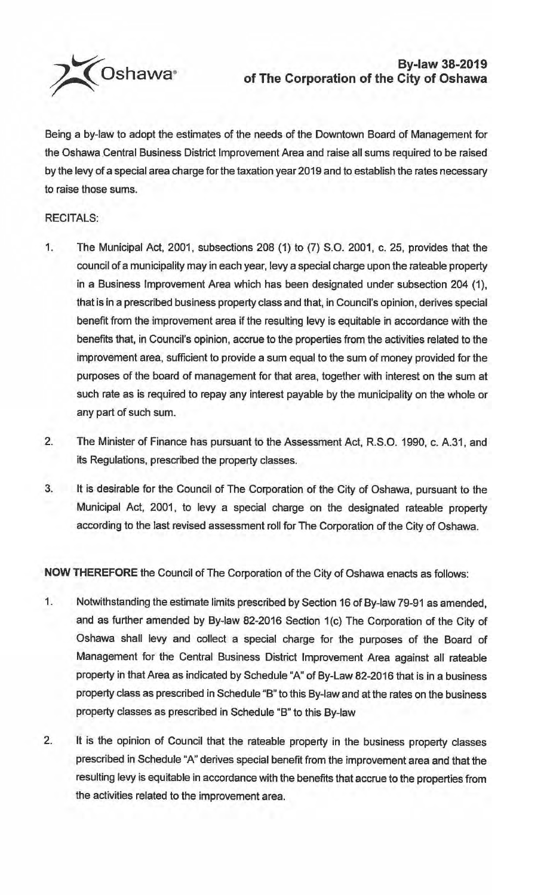

Being a by-law to adopt the estimates of the needs of the Downtown Board of Management for the Oshawa Central Business District Improvement Area and raise all sums required to be raised by the levy of a special area charge for the taxation year 2019 and to establish the rates necessary to raise those sums.

## RECITALS:

- 1. The Municipal Act, 2001, subsections 208 (1) to (7) S.O. 2001, c. 25, provides that the council of a municipality may in each year, levy a special charge upon the rateable property in a Business Improvement Area which has been designated under subsection 204 (1), that is in a prescribed business property class and that, in Council's opinion, derives special benefit from the improvement area if the resulting levy is equitable in accordance with the benefits that. in Council's opinion, accrue to the properties from the activities related to the improvement area, sufficient to provide a sum equal to the sum of money provided for the purposes of the board of management for that area, together with interest on the sum at such rate as is required to repay any interest payable by the municipality on the whole or any part of such sum.
- 2. The Minister of Finance has pursuant to the Assessment Act, R.S.O. 1990, c. A.31, and its Regulations, prescribed the property classes.
- 3. It is desirable for the Council of The Corporation of the City of Oshawa, pursuant to the Municipal Act, 2001, to levy a special charge on the designated rateable property according to the last revised assessment roll for The Corporation of the City of Oshawa.

**NOW THEREFORE** the Council of The Corporation of the City of Oshawa enacts as follows:

- 1. Notwithstanding the estimate limits prescribed by Section 16 of By-law 79-91 as amended, and as further amended by By-law 82-2016 Section 1(c) The Corporation of the City of Oshawa shall levy and collect a special charge for the purposes of the Board of Management for the Central Business District Improvement Area against all rateable property in that Area as indicated by Schedule "A" of By-Law 82-2016 that is in a business property class as prescribed in Schedule "B" to this By-law and at the rates on the business property classes as prescribed in Schedule "B" to this By-law
- 2. It is the opinion of Council that the rateable property in the business property classes prescribed in Schedule "A" derives special benefit from the improvement area and that the resulting levy is equitable in accordance with the benefits that accrue to the properties from the activities related to the improvement area.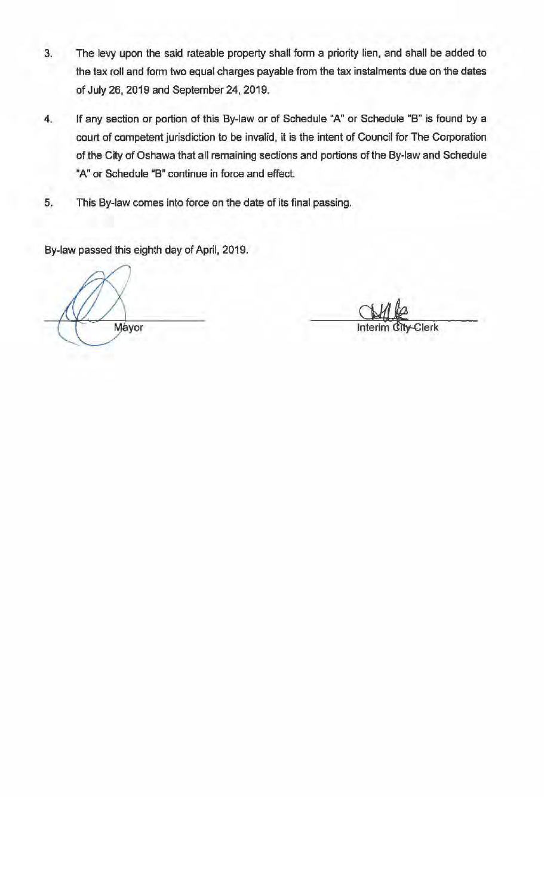- 3. The levy upon the said rateable property shall form a priority lien, and shall be added to the tax roll and form two equal charges payable from the tax instalments due on the dates of July 26, 2019 and September 24, 2019.
- 4. If any section or portion of this By-law or of Schedule "A" or Schedule "B" is found by a court of competent jurisdiction to be invalid, it is the intent of Council for The Corporation of the City of Oshawa that all remaining sections and portions of the By-law and Schedule "A" or Schedule "B" continue in force and effect.
- 5. This By-law comes into force on the date of its final passing.

By-law passed this eighth day of April, 2019.

Mayor

Clerk Interi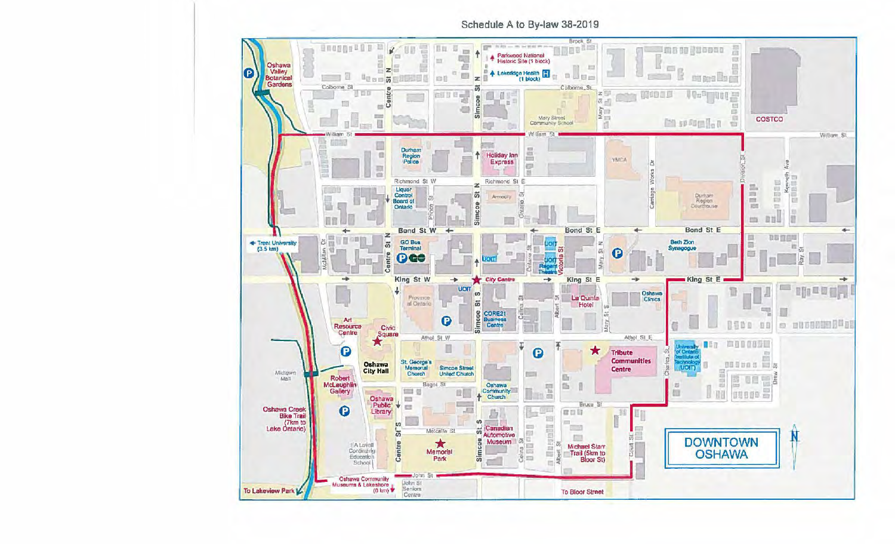